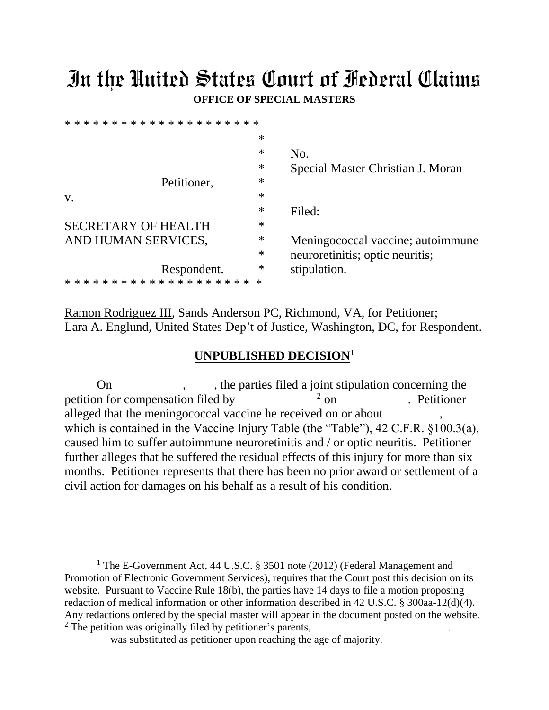## In the United States Court of Federal Claims **OFFICE OF SPECIAL MASTERS**

|                                                                        | $\ast$           |                                   |
|------------------------------------------------------------------------|------------------|-----------------------------------|
|                                                                        | $\ast$           | No.                               |
|                                                                        | $\ast$           | Special Master Christian J. Moran |
| Petitioner,                                                            | $\ast$           |                                   |
| V.                                                                     | $\ast$           |                                   |
|                                                                        | $\ast$           | Filed:                            |
| <b>SECRETARY OF HEALTH</b>                                             | $\ast$           |                                   |
| AND HUMAN SERVICES,                                                    | $\ast$           | Meningococcal vaccine; autoimmune |
|                                                                        | $\ast$           | neuroretinitis; optic neuritis;   |
| Respondent.<br>* * * * * * * * * * * * * * * *<br>$\ast\ast$<br>$\ast$ | $\ast$<br>$\ast$ | stipulation.                      |
|                                                                        |                  |                                   |

Ramon Rodriguez III, Sands Anderson PC, Richmond, VA, for Petitioner; Lara A. Englund, United States Dep't of Justice, Washington, DC, for Respondent.

## **UNPUBLISHED DECISION**<sup>1</sup>

On , the parties filed a joint stipulation concerning the petition for compensation filed by  $2 \text{ on}$ . Petitioner alleged that the meningococcal vaccine he received on or about , which is contained in the Vaccine Injury Table (the "Table"), 42 C.F.R. §100.3(a), caused him to suffer autoimmune neuroretinitis and / or optic neuritis. Petitioner further alleges that he suffered the residual effects of this injury for more than six months. Petitioner represents that there has been no prior award or settlement of a civil action for damages on his behalf as a result of his condition.

 $\overline{a}$ 

<sup>&</sup>lt;sup>1</sup> The E-Government Act, 44 U.S.C. § 3501 note (2012) (Federal Management and Promotion of Electronic Government Services), requires that the Court post this decision on its website. Pursuant to Vaccine Rule 18(b), the parties have 14 days to file a motion proposing redaction of medical information or other information described in 42 U.S.C. § 300aa-12(d)(4). Any redactions ordered by the special master will appear in the document posted on the website. <sup>2</sup> The petition was originally filed by petitioner's parents,

was substituted as petitioner upon reaching the age of majority.